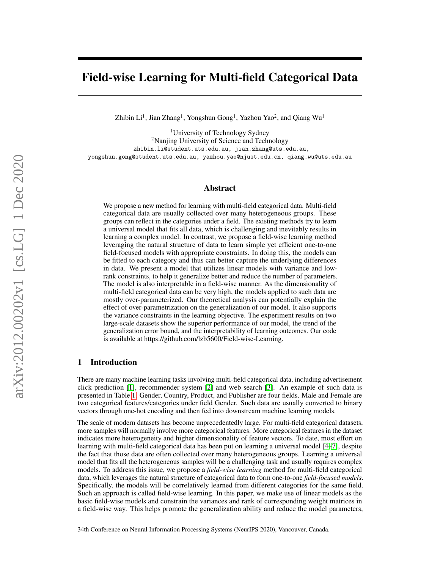# Field-wise Learning for Multi-field Categorical Data

Zhibin Li<sup>1</sup>, Jian Zhang<sup>1</sup>, Yongshun Gong<sup>1</sup>, Yazhou Yao<sup>2</sup>, and Qiang Wu<sup>1</sup>

<sup>1</sup>University of Technology Sydney <sup>2</sup>Nanjing University of Science and Technology zhibin.li@student.uts.edu.au, jian.zhang@uts.edu.au, yongshun.gong@student.uts.edu.au, yazhou.yao@njust.edu.cn, qiang.wu@uts.edu.au

## Abstract

We propose a new method for learning with multi-field categorical data. Multi-field categorical data are usually collected over many heterogeneous groups. These groups can reflect in the categories under a field. The existing methods try to learn a universal model that fits all data, which is challenging and inevitably results in learning a complex model. In contrast, we propose a field-wise learning method leveraging the natural structure of data to learn simple yet efficient one-to-one field-focused models with appropriate constraints. In doing this, the models can be fitted to each category and thus can better capture the underlying differences in data. We present a model that utilizes linear models with variance and lowrank constraints, to help it generalize better and reduce the number of parameters. The model is also interpretable in a field-wise manner. As the dimensionality of multi-field categorical data can be very high, the models applied to such data are mostly over-parameterized. Our theoretical analysis can potentially explain the effect of over-parametrization on the generalization of our model. It also supports the variance constraints in the learning objective. The experiment results on two large-scale datasets show the superior performance of our model, the trend of the generalization error bound, and the interpretability of learning outcomes. Our code is available at https://github.com/lzb5600/Field-wise-Learning.

## 1 Introduction

There are many machine learning tasks involving multi-field categorical data, including advertisement click prediction [\[1\]](#page-8-0), recommender system [\[2\]](#page-8-1) and web search [\[3\]](#page-8-2). An example of such data is presented in Table [1.](#page-1-0) Gender, Country, Product, and Publisher are four fields. Male and Female are two categorical features/categories under field Gender. Such data are usually converted to binary vectors through one-hot encoding and then fed into downstream machine learning models.

The scale of modern datasets has become unprecedentedly large. For multi-field categorical datasets, more samples will normally involve more categorical features. More categorical features in the dataset indicates more heterogeneity and higher dimensionality of feature vectors. To date, most effort on learning with multi-field categorical data has been put on learning a universal model [\[4](#page-8-3)[–7\]](#page-8-4), despite the fact that those data are often collected over many heterogeneous groups. Learning a universal model that fits all the heterogeneous samples will be a challenging task and usually requires complex models. To address this issue, we propose a *field-wise learning* method for multi-field categorical data, which leverages the natural structure of categorical data to form one-to-one *field-focused models*. Specifically, the models will be correlatively learned from different categories for the same field. Such an approach is called field-wise learning. In this paper, we make use of linear models as the basic field-wise models and constrain the variances and rank of corresponding weight matrices in a field-wise way. This helps promote the generalization ability and reduce the model parameters,

34th Conference on Neural Information Processing Systems (NeurIPS 2020), Vancouver, Canada.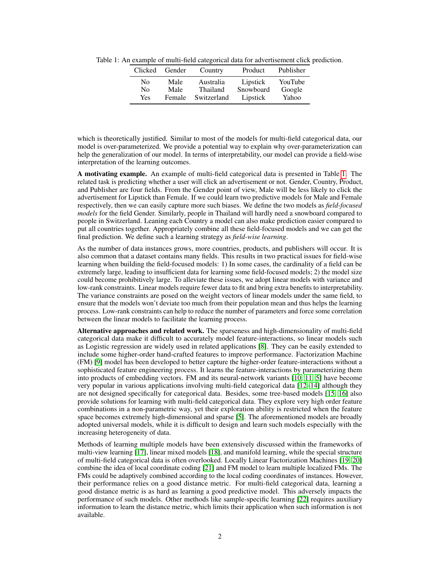<span id="page-1-0"></span>Table 1: An example of multi-field categorical data for advertisement click prediction.

| Clicked        | Gender | Country     | Product   | Publisher |  |
|----------------|--------|-------------|-----------|-----------|--|
| No             | Male   | Australia   | Lipstick  | YouTube   |  |
| N <sub>0</sub> | Male   | Thailand    | Snowboard | Google    |  |
| Yes            | Female | Switzerland | Lipstick  | Yahoo     |  |

which is theoretically justified. Similar to most of the models for multi-field categorical data, our model is over-parameterized. We provide a potential way to explain why over-parameterization can help the generalization of our model. In terms of interpretability, our model can provide a field-wise interpretation of the learning outcomes.

A motivating example. An example of multi-field categorical data is presented in Table [1.](#page-1-0) The related task is predicting whether a user will click an advertisement or not. Gender, Country, Product, and Publisher are four fields. From the Gender point of view, Male will be less likely to click the advertisement for Lipstick than Female. If we could learn two predictive models for Male and Female respectively, then we can easily capture more such biases. We define the two models as *field-focused models* for the field Gender. Similarly, people in Thailand will hardly need a snowboard compared to people in Switzerland. Leaning each Country a model can also make prediction easier compared to put all countries together. Appropriately combine all these field-focused models and we can get the final prediction. We define such a learning strategy as *field-wise learning*.

As the number of data instances grows, more countries, products, and publishers will occur. It is also common that a dataset contains many fields. This results in two practical issues for field-wise learning when building the field-focused models: 1) In some cases, the cardinality of a field can be extremely large, leading to insufficient data for learning some field-focused models; 2) the model size could become prohibitively large. To alleviate these issues, we adopt linear models with variance and low-rank constraints. Linear models require fewer data to fit and bring extra benefits to interpretability. The variance constraints are posed on the weight vectors of linear models under the same field, to ensure that the models won't deviate too much from their population mean and thus helps the learning process. Low-rank constraints can help to reduce the number of parameters and force some correlation between the linear models to facilitate the learning process.

Alternative approaches and related work. The sparseness and high-dimensionality of multi-field categorical data make it difficult to accurately model feature-interactions, so linear models such as Logistic regression are widely used in related applications [\[8\]](#page-8-5). They can be easily extended to include some higher-order hand-crafted features to improve performance. Factorization Machine (FM) [\[9\]](#page-8-6) model has been developed to better capture the higher-order feature-interactions without a sophisticated feature engineering process. It learns the feature-interactions by parameterizing them into products of embedding vectors. FM and its neural-network variants [\[10,](#page-8-7) [11,](#page-8-8) [5\]](#page-8-9) have become very popular in various applications involving multi-field categorical data [\[12–](#page-9-0)[14\]](#page-9-1) although they are not designed specifically for categorical data. Besides, some tree-based models [\[15,](#page-9-2) [16\]](#page-9-3) also provide solutions for learning with multi-field categorical data. They explore very high order feature combinations in a non-parametric way, yet their exploration ability is restricted when the feature space becomes extremely high-dimensional and sparse [\[5\]](#page-8-9). The aforementioned models are broadly adopted universal models, while it is difficult to design and learn such models especially with the increasing heterogeneity of data.

Methods of learning multiple models have been extensively discussed within the frameworks of multi-view learning [\[17\]](#page-9-4), linear mixed models [\[18\]](#page-9-5), and manifold learning, while the special structure of multi-field categorical data is often overlooked. Locally Linear Factorization Machines [\[19,](#page-9-6) [20\]](#page-9-7) combine the idea of local coordinate coding [\[21\]](#page-9-8) and FM model to learn multiple localized FMs. The FMs could be adaptively combined according to the local coding coordinates of instances. However, their performance relies on a good distance metric. For multi-field categorical data, learning a good distance metric is as hard as learning a good predictive model. This adversely impacts the performance of such models. Other methods like sample-specific learning [\[22\]](#page-9-9) requires auxiliary information to learn the distance metric, which limits their application when such information is not available.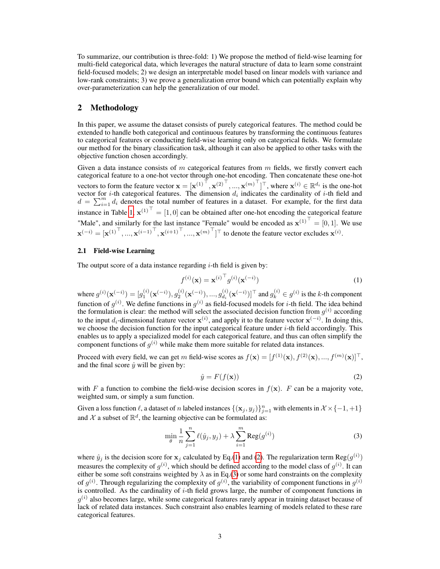To summarize, our contribution is three-fold: 1) We propose the method of field-wise learning for multi-field categorical data, which leverages the natural structure of data to learn some constraint field-focused models; 2) we design an interpretable model based on linear models with variance and low-rank constraints; 3) we prove a generalization error bound which can potentially explain why over-parameterization can help the generalization of our model.

# 2 Methodology

In this paper, we assume the dataset consists of purely categorical features. The method could be extended to handle both categorical and continuous features by transforming the continuous features to categorical features or conducting field-wise learning only on categorical fields. We formulate our method for the binary classification task, although it can also be applied to other tasks with the objective function chosen accordingly.

Given a data instance consists of m categorical features from  $m$  fields, we firstly convert each categorical feature to a one-hot vector through one-hot encoding. Then concatenate these one-hot vectors to form the feature vector  $\mathbf{x} = [\mathbf{x}^{(1)}^\top, \mathbf{x}^{(2)}^\top, ..., \mathbf{x}^{(m)}^\top]^\top$ , where  $\mathbf{x}^{(i)} \in \mathbb{R}^{d_i}$  is the one-hot vector for *i*-th categorical features. The dimension  $d_i$  indicates the cardinality of *i*-th field and  $d = \sum_{i=1}^{m} d_i$  denotes the total number of features in a dataset. For example, for the first data instance in Table [1,](#page-1-0)  $\mathbf{x}^{(1)}$ <sup>T</sup> = [1, 0] can be obtained after one-hot encoding the categorical feature "Male", and similarly for the last instance "Female" would be encoded as  $\mathbf{x}^{(1)}$ <sup>T</sup> = [0, 1]. We use  $\mathbf{x}^{(-i)} = [\mathbf{x}^{(1)}^\top, ..., \mathbf{x}^{(i-1)}^\top, \mathbf{x}^{(i+1)}^\top, ..., \mathbf{x}^{(m)}^\top]^\top$  to denote the feature vector excludes  $\mathbf{x}^{(i)}$ .

## 2.1 Field-wise Learning

The output score of a data instance regarding  $i$ -th field is given by:

<span id="page-2-0"></span>
$$
f^{(i)}(\mathbf{x}) = \mathbf{x}^{(i)\top} g^{(i)}(\mathbf{x}^{(-i)})
$$
\n(1)

where  $g^{(i)}(\mathbf{x}^{(-i)}) = [g^{(i)}_1(\mathbf{x}^{(-i)}), g^{(i)}_2(\mathbf{x}^{(-i)}), ..., g^{(i)}_{d_i}]$  $\binom{i}{d_i} (\mathbf{x}^{(-i)})$ ]  $\top$  and  $g_k^{(i)} \in g^{(i)}$  is the k-th component function of  $g^{(i)}$ . We define functions in  $g^{(i)}$  as field-focused models for *i*-th field. The idea behind the formulation is clear: the method will select the associated decision function from  $g^{(i)}$  according to the input  $d_i$ -dimensional feature vector  $\mathbf{x}^{(i)}$ , and apply it to the feature vector  $\mathbf{x}^{(-i)}$ . In doing this, we choose the decision function for the input categorical feature under  $i$ -th field accordingly. This enables us to apply a specialized model for each categorical feature, and thus can often simplify the component functions of  $g^{(i)}$  while make them more suitable for related data instances.

Proceed with every field, we can get m field-wise scores as  $f(\mathbf{x}) = [f^{(1)}(\mathbf{x}), f^{(2)}(\mathbf{x}), ..., f^{(m)}(\mathbf{x})]^\top$ , and the final score  $\hat{y}$  will be given by:

<span id="page-2-2"></span><span id="page-2-1"></span>
$$
\hat{y} = F(f(\mathbf{x}))\tag{2}
$$

with F a function to combine the field-wise decision scores in  $f(\mathbf{x})$ . F can be a majority vote, weighted sum, or simply a sum function.

Given a loss function  $\ell$ , a dataset of n labeled instances  $\{(\mathbf{x}_j, y_j)\}_{j=1}^n$  with elements in  $\mathcal{X} \times \{-1, +1\}$ and X a subset of  $\mathbb{R}^d$ , the learning objective can be formulated as:

$$
\min_{\theta} \frac{1}{n} \sum_{j=1}^{n} \ell(\hat{y}_j, y_j) + \lambda \sum_{i=1}^{m} \text{Reg}(g^{(i)})
$$
\n(3)

where  $\hat{y}_j$  is the decision score for  $x_j$  calculated by Eq.[\(1\)](#page-2-0) and [\(2\)](#page-2-1). The regularization term  $\text{Reg}(g^{(i)})$ measures the complexity of  $g^{(i)}$ , which should be defined according to the model class of  $g^{(i)}$ . It can either be some soft constrains weighted by  $\lambda$  as in Eq.[\(3\)](#page-2-2) or some hard constraints on the complexity of  $g^{(i)}$ . Through regularizing the complexity of  $g^{(i)}$ , the variability of component functions in  $g^{(i)}$ is controlled. As the cardinality of  $i$ -th field grows large, the number of component functions in  $g^{(i)}$  also becomes large, while some categorical features rarely appear in training dataset because of lack of related data instances. Such constraint also enables learning of models related to these rare categorical features.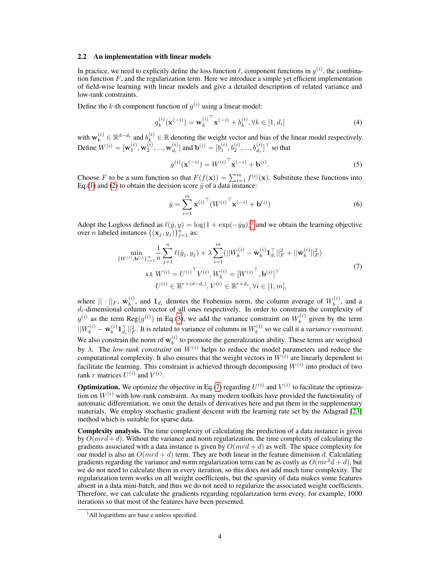#### 2.2 An implementation with linear models

In practice, we need to explicitly define the loss function  $\ell$ , component functions in  $g^{(i)}$ , the combination function  $F$ , and the regularization term. Here we introduce a simple yet efficient implementation of field-wise learning with linear models and give a detailed description of related variance and low-rank constraints.

Define the k-th component function of  $g^{(i)}$  using a linear model:

$$
g_k^{(i)}(\mathbf{x}^{(-i)}) = \mathbf{w}_k^{(i)}^\top \mathbf{x}^{(-i)} + b_k^{(i)}, \forall k \in [1, d_i]
$$
 (4)

with  $\mathbf{w}_k^{(i)} \in \mathbb{R}^{d-d_i}$  and  $b_k^{(i)} \in \mathbb{R}$  denoting the weight vector and bias of the linear model respectively. Define  $W^{(i)} = [\mathbf{w}_1^{(i)}, \mathbf{w}_2^{(i)}, ..., \mathbf{w}_{d_i}^{(i)}]$  $\mathbf{b}_{d_i}^{(i)}$ ] and  $\mathbf{b}^{(i)} = [b_1^{(i)}, b_2^{(i)}, ..., b_{d_i}^{(i)}]^\top$  so that

$$
g^{(i)}(\mathbf{x}^{(-i)}) = W^{(i)}^{\top} \mathbf{x}^{(-i)} + \mathbf{b}^{(i)}.
$$
 (5)

Choose F to be a sum function so that  $F(f(\mathbf{x})) = \sum_{i=1}^{m} f^{(i)}(\mathbf{x})$ . Substitute these functions into Eq.[\(1\)](#page-2-0) and [\(2\)](#page-2-1) to obtain the decision score  $\hat{y}$  of a data instance:

<span id="page-3-1"></span>
$$
\hat{y} = \sum_{i=1}^{m} \mathbf{x}^{(i)\top} (W^{(i)\top} \mathbf{x}^{(-i)} + \mathbf{b}^{(i)})
$$
(6)

Adopt the Logloss defined as  $\ell(\hat{y}, y) = \log(1 + \exp(-\hat{y}y))^1$  $\ell(\hat{y}, y) = \log(1 + \exp(-\hat{y}y))^1$  $\ell(\hat{y}, y) = \log(1 + \exp(-\hat{y}y))^1$  and we obtain the learning objective over *n* labeled instances  $\{(\mathbf{x}_j, y_j)\}_{j=1}^n$  as:

$$
\min_{\{W^{(i)}, \mathbf{b}^{(i)}\}_{i=1}^m} \frac{1}{n} \sum_{j=1}^n \ell(\hat{y}_j, y_j) + \lambda \sum_{i=1}^m (||W_b^{(i)} - \bar{\mathbf{w}}_b^{(i)} \mathbf{1}_{d_i}^{\top}||_F^2 + ||\bar{\mathbf{w}}_b^{(i)}||_F^2)
$$
\n
$$
\text{s.t. } W^{(i)} = U^{(i)\top} V^{(i)}, W_b^{(i)} = [W^{(i)\top}, \mathbf{b}^{(i)}]^{\top}
$$
\n
$$
U^{(i)} \in \mathbb{R}^{r \times (d - d_i)}, V^{(i)} \in \mathbb{R}^{r \times d_i}, \forall i \in [1, m],
$$
\n(7)

where  $|| \cdot ||_F$ ,  $\bar{\mathbf{w}}_b^{(i)}$  $b_b^{(i)}$ , and  $\mathbf{1}_{d_i}$  denotes the Frobenius norm, the column average of  $W_b^{(i)}$  $b^{(i)}$ , and a  $d_i$ -dimensional column vector of all ones respectively. In order to constrain the complexity of  $g^{(i)}$  as the term Reg $(g^{(i)})$  in Eq.[\(3\)](#page-2-2), we add the variance constraint on  $W_b^{(i)}$  $b<sub>b</sub><sup>(t)</sup>$  given by the term  $||W_{b}^{(i)}-\bar{\mathbf{w}}_{b}^{(i)}$  $\binom{i}{b} \mathbf{1}_{d_i}^{\top} |_{F}^2$ . It is related to variance of columns in  $W_b^{(i)}$  $b_b^{(i)}$  so we call it a *variance constraint*. We also constrain the norm of  $\bar{\mathbf{w}}_b^{(i)}$  $b<sub>b</sub>$  to promote the generalization ability. These terms are weighted by  $\lambda$ . The *low-rank constraint* on  $W^{(i)}$  helps to reduce the model parameters and reduce the computational complexity. It also ensures that the weight vectors in  $W^{(i)}$  are linearly dependent to facilitate the learning. This constraint is achieved through decomposing  $W^{(i)}$  into product of two rank r matrices  $U^{(i)}$  and  $V^{(i)}$ .

**Optimization.** We optimize the objective in Eq.[\(7\)](#page-3-1) regarding  $U^{(i)}$  and  $V^{(i)}$  to facilitate the optimization on  $W^{(i)}$  with low-rank constraint. As many modern toolkits have provided the functionality of automatic differentiation, we omit the details of derivatives here and put them in the supplementary materials. We employ stochastic gradient descent with the learning rate set by the Adagrad [\[23\]](#page-9-10) method which is suitable for sparse data.

Complexity analysis. The time complexity of calculating the prediction of a data instance is given by  $O(mrd+d)$ . Without the variance and norm regularization, the time complexity of calculating the gradients associated with a data instance is given by  $O(mrd + d)$  as well. The space complexity for our model is also an  $O(mrd + d)$  term. They are both linear in the feature dimension d. Calculating gradients regarding the variance and norm regularization term can be as costly as  $O(mr^2d + d)$ , but we do not need to calculate them in every iteration, so this does not add much time complexity. The regularization term works on all weight coefficients, but the sparsity of data makes some features absent in a data mini-batch, and thus we do not need to regularize the associated weight coefficients. Therefore, we can calculate the gradients regarding regularization term every, for example, 1000 iterations so that most of the features have been presented.

<span id="page-3-0"></span> $<sup>1</sup>$ All logarithms are base e unless specified.</sup>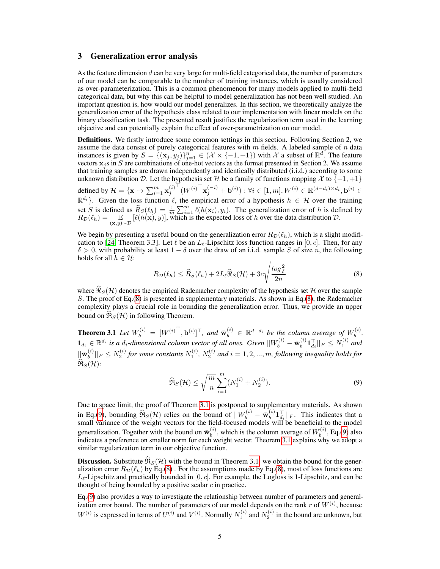# 3 Generalization error analysis

As the feature dimension  $d$  can be very large for multi-field categorical data, the number of parameters of our model can be comparable to the number of training instances, which is usually considered as over-parameterization. This is a common phenomenon for many models applied to multi-field categorical data, but why this can be helpful to model generalization has not been well studied. An important question is, how would our model generalizes. In this section, we theoretically analyze the generalization error of the hypothesis class related to our implementation with linear models on the binary classification task. The presented result justifies the regularization term used in the learning objective and can potentially explain the effect of over-parametrization on our model.

Definitions. We firstly introduce some common settings in this section. Following Section 2, we assume the data consist of purely categorical features with  $m$  fields. A labeled sample of  $n$  data instances is given by  $S = \{(\mathbf{x}_j, y_j)\}_{j=1}^n \in (\mathcal{X} \times \{-1, +1\})$  with  $\mathcal{X}$  a subset of  $\mathbb{R}^d$ . The feature vectors  $x_j$  s in S are combinations of one-hot vectors as the format presented in Section 2. We assume that training samples are drawn independently and identically distributed (i.i.d.) according to some unknown distribution D. Let the hypothesis set H be a family of functions mapping  $\mathcal{X}$  to  $\{-1, +1\}$ defined by  $\mathcal{H} = \{\mathbf{x} \mapsto \sum_{i=1}^m \mathbf{x}_j^{(i)}$  $\bigl\{ \left( W^{(i)}{}^{\top} \mathbf{x}_{j}^{(-i)} + \mathbf{b}^{(i)} \right) : \forall i \in [1,m], W^{(i)} \in \mathbb{R}^{(d-d_i) \times d_i}, \mathbf{b}^{(i)} \in \mathcal{S} \bigr\}$  $\mathbb{R}^{d_i}$ . Given the loss function  $\ell$ , the empirical error of a hypothesis  $h \in \mathcal{H}$  over the training set S is defined as  $\widehat{R}_S(\ell_h) = \frac{1}{m} \sum_{i=1}^m \ell(h(\mathbf{x}_i), y_i)$ . The generalization error of h is defined by  $R_{\mathcal{D}}(\ell_h) = \mathbb{E}_{(\mathbf{x},y) \sim \mathcal{D}} [\ell(h(\mathbf{x}), y)],$  which is the expected loss of h over the data distribution  $\mathcal{D}$ .

We begin by presenting a useful bound on the generalization error  $R_D(\ell_h)$ , which is a slight modifi-cation to [\[24,](#page-9-11) Theorem 3.3]. Let  $\ell$  be an  $L_{\ell}$ -Lipschitz loss function ranges in [0, c]. Then, for any  $\delta > 0$ , with probability at least  $1 - \delta$  over the draw of an i.i.d. sample S of size n, the following holds for all  $h \in \mathcal{H}$ :

<span id="page-4-1"></span><span id="page-4-0"></span>
$$
R_{\mathcal{D}}(\ell_h) \le \widehat{R}_{S}(\ell_h) + 2L_{\ell} \widehat{\Re}_{S}(\mathcal{H}) + 3c \sqrt{\frac{\log \frac{2}{\delta}}{2n}} \tag{8}
$$

where  $\Re_S(H)$  denotes the empirical Rademacher complexity of the hypothesis set H over the sample S. The proof of Eq.[\(8\)](#page-4-0) is presented in supplementary materials. As shown in Eq.[\(8\)](#page-4-0), the Rademacher complexity plays a crucial role in bounding the generalization error. Thus, we provide an upper bound on  $\widehat{\mathfrak{R}}_S(\mathcal{H})$  in following Theorem.

**Theorem 3.1** Let  $W_b^{(i)} = [W^{(i)}^\top, \mathbf{b}^{(i)}]^\top$ , and  $\bar{\mathbf{w}}_b^{(i)} \in \mathbb{R}^{d-d_i}$  be the column average of  $W_b^{(i)}$ . **1**  $d_i \in \mathbb{R}^{d_i}$  is a  $d_i$ -dimensional column vector of all ones. Given  $||W_b^{(i)} - \bar{w}_b^{(i)} \mathbf{1}_{d_i}^{\top}||_F \leq N_1^{(i)}$  and  $\bar{w}_b^{(i)} - \bar{w}_b^{(i)} \mathbf{1}_{d_i}^{\top}||_F \leq N_1^{(i)}$  $\|b^{(i)}\mathbf{1}_{d_i}^{\top}\|_F \leq N_1^{(i)}$  and  $||\bar{\mathbf{w}}_b^{(i)}$  $\|b^{(i)}\|_F\leq N_2^{(i)}$  for some constants  $N_1^{(i)}$ ,  $N_2^{(i)}$  and  $i=1,2,...,m$ , following inequality holds for  $\widehat{\mathfrak{R}}_S(\mathcal{H})$ :

<span id="page-4-2"></span>
$$
\widehat{\Re}_S(\mathcal{H}) \le \sqrt{\frac{m}{n}} \sum_{i=1}^m (N_1^{(i)} + N_2^{(i)}).
$$
\n(9)

Due to space limit, the proof of Theorem [3.1](#page-4-1) is postponed to supplementary materials. As shown in Eq.[\(9\)](#page-4-2), bounding  $\widehat{\mathfrak{R}}_S(\mathcal{H})$  relies on the bound of  $||W_b^{(i)} - \bar{w}_b^{(i)}||$  $\left\{ \begin{array}{ll} (i) \mathbf{1}_{d_i}^\top ||_F. \end{array} \right.$  This indicates that a small variance of the weight vectors for the field-focused models will be beneficial to the model generalization. Together with the bound on  $\bar{\mathbf{w}}_b^{(i)}$  $\binom{i}{b}$ , which is the column average of  $W_b^{(i)}$  $b^{(i)}$ , Eq.[\(9\)](#page-4-2) also indicates a preference on smaller norm for each weight vector. Theorem [3.1](#page-4-1) explains why we adopt a similar regularization term in our objective function.

**Discussion.** Substitute  $\Re S(H)$  with the bound in Theorem [3.1,](#page-4-1) we obtain the bound for the generalization error  $R_{\mathcal{D}}(\ell_h)$  by Eq.[\(8\)](#page-4-0). For the assumptions made by Eq.(8), most of loss functions are  $L_{\ell}$ -Lipschitz and practically bounded in [0, c]. For example, the Logloss is 1-Lipschitz, and can be thought of being bounded by a positive scalar  $c$  in practice.

Eq.[\(9\)](#page-4-2) also provides a way to investigate the relationship between number of parameters and generalization error bound. The number of parameters of our model depends on the rank  $r$  of  $W^{(i)}$ , because  $W^{(i)}$  is expressed in terms of  $U^{(i)}$  and  $V^{(i)}$ . Normally  $N_1^{(i)}$  and  $N_2^{(i)}$  in the bound are unknown, but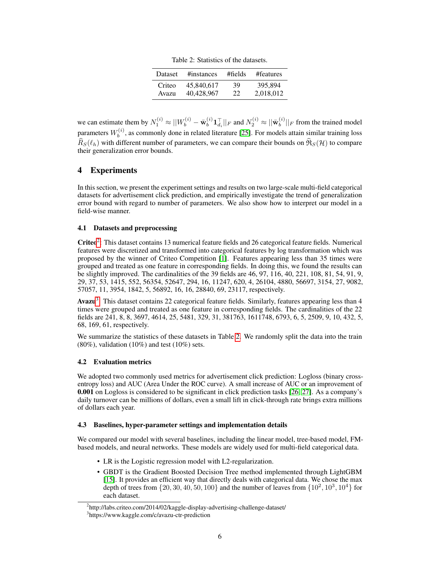Table 2: Statistics of the datasets.

| <b>Dataset</b> | #instances | #fields | #features |
|----------------|------------|---------|-----------|
| Criteo         | 45,840,617 | 39      | 395.894   |
| Avazu          | 40.428.967 | 22      | 2,018,012 |

<span id="page-5-2"></span>we can estimate them by  $N_1^{(i)} \approx ||W_b^{(i)} - \bar{w}_b^{(i)}$  $\|b_{b}^{(i)}\mathbf{1}_{d_{i}}^{\top}\|_{F}$  and  $N_{2}^{(i)} \approx \|\bar{\mathbf{w}}_{b}^{(i)}\|$  $\binom{v}{b}$ || $_F$  from the trained model parameters  $W_h^{(i)}$  $b<sub>b</sub>$  as commonly done in related literature [\[25\]](#page-9-12). For models attain similar training loss  $\widehat{R}_S(\ell_h)$  with different number of parameters, we can compare their bounds on  $\widehat{R}_S(\mathcal{H})$  to compare their generalization error bounds.

# 4 Experiments

In this section, we present the experiment settings and results on two large-scale multi-field categorical datasets for advertisement click prediction, and empirically investigate the trend of generalization error bound with regard to number of parameters. We also show how to interpret our model in a field-wise manner.

## 4.1 Datasets and preprocessing

Criteo<sup>[2](#page-5-0)</sup>: This dataset contains 13 numerical feature fields and 26 categorical feature fields. Numerical features were discretized and transformed into categorical features by log transformation which was proposed by the winner of Criteo Competition [\[1\]](#page-8-0). Features appearing less than 35 times were grouped and treated as one feature in corresponding fields. In doing this, we found the results can be slightly improved. The cardinalities of the 39 fields are 46, 97, 116, 40, 221, 108, 81, 54, 91, 9, 29, 37, 53, 1415, 552, 56354, 52647, 294, 16, 11247, 620, 4, 26104, 4880, 56697, 3154, 27, 9082, 57057, 11, 3954, 1842, 5, 56892, 16, 16, 28840, 69, 23117, respectively.

Avazu<sup>[3](#page-5-1)</sup>: This dataset contains 22 categorical feature fields. Similarly, features appearing less than 4 times were grouped and treated as one feature in corresponding fields. The cardinalities of the 22 fields are 241, 8, 8, 3697, 4614, 25, 5481, 329, 31, 381763, 1611748, 6793, 6, 5, 2509, 9, 10, 432, 5, 68, 169, 61, respectively.

We summarize the statistics of these datasets in Table [2.](#page-5-2) We randomly split the data into the train  $(80\%)$ , validation  $(10\%)$  and test  $(10\%)$  sets.

# 4.2 Evaluation metrics

We adopted two commonly used metrics for advertisement click prediction: Logloss (binary crossentropy loss) and AUC (Area Under the ROC curve). A small increase of AUC or an improvement of 0.001 on Logloss is considered to be significant in click prediction tasks [\[26,](#page-9-13) [27\]](#page-9-14). As a company's daily turnover can be millions of dollars, even a small lift in click-through rate brings extra millions of dollars each year.

## 4.3 Baselines, hyper-parameter settings and implementation details

We compared our model with several baselines, including the linear model, tree-based model, FMbased models, and neural networks. These models are widely used for multi-field categorical data.

- LR is the Logistic regression model with L2-regularization.
- GBDT is the Gradient Boosted Decision Tree method implemented through LightGBM [\[15\]](#page-9-2). It provides an efficient way that directly deals with categorical data. We chose the max depth of trees from  $\{20, 30, 40, 50, 100\}$  and the number of leaves from  $\{10^2, 10^3, 10^4\}$  for each dataset.

<span id="page-5-0"></span><sup>&</sup>lt;sup>2</sup>http://labs.criteo.com/2014/02/kaggle-display-advertising-challenge-dataset/

<span id="page-5-1"></span><sup>3</sup> https://www.kaggle.com/c/avazu-ctr-prediction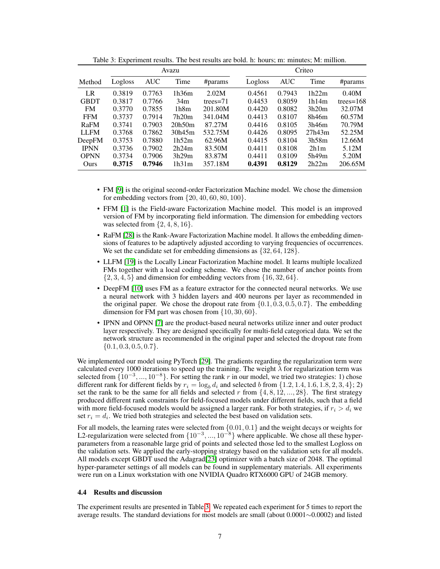|             | Avazu   |            |        | Criteo      |         |            |        |              |
|-------------|---------|------------|--------|-------------|---------|------------|--------|--------------|
| Method      | Logloss | <b>AUC</b> | Time   | #params     | Logloss | <b>AUC</b> | Time   | #params      |
| LR          | 0.3819  | 0.7763     | 1h36m  | 2.02M       | 0.4561  | 0.7943     | 1h22m  | 0.40M        |
| <b>GBDT</b> | 0.3817  | 0.7766     | 34m    | trees= $71$ | 0.4453  | 0.8059     | 1h14m  | trees= $168$ |
| <b>FM</b>   | 0.3770  | 0.7855     | 1h8m   | 201.80M     | 0.4420  | 0.8082     | 3h20m  | 32.07M       |
| <b>FFM</b>  | 0.3737  | 0.7914     | 7h20m  | 341.04M     | 0.4413  | 0.8107     | 8h46m  | 60.57M       |
| RaFM        | 0.3741  | 0.7903     | 20h50m | 87.27M      | 0.4416  | 0.8105     | 3h46m  | 70.79M       |
| <b>LLFM</b> | 0.3768  | 0.7862     | 30h45m | 532.75M     | 0.4426  | 0.8095     | 27h43m | 52.25M       |
| DeepFM      | 0.3753  | 0.7880     | 1h52m  | 62.96M      | 0.4415  | 0.8104     | 3h58m  | 12.66M       |
| <b>IPNN</b> | 0.3736  | 0.7902     | 2h24m  | 83.50M      | 0.4411  | 0.8108     | 2h1m   | 5.12M        |
| <b>OPNN</b> | 0.3734  | 0.7906     | 3h29m  | 83.87M      | 0.4411  | 0.8109     | 5h49m  | 5.20M        |
| Ours        | 0.3715  | 0.7946     | 1h31m  | 357.18M     | 0.4391  | 0.8129     | 2h22m  | 206.65M      |

<span id="page-6-0"></span>Table 3: Experiment results. The best results are bold. h: hours; m: minutes; M: million.

- FM [\[9\]](#page-8-6) is the original second-order Factorization Machine model. We chose the dimension for embedding vectors from  $\{20, 40, 60, 80, 100\}$ .
- FFM [\[1\]](#page-8-0) is the Field-aware Factorization Machine model. This model is an improved version of FM by incorporating field information. The dimension for embedding vectors was selected from  $\{2, 4, 8, 16\}.$
- RaFM [\[28\]](#page-9-15) is the Rank-Aware Factorization Machine model. It allows the embedding dimensions of features to be adaptively adjusted according to varying frequencies of occurrences. We set the candidate set for embedding dimensions as  $\{32, 64, 128\}$ .
- LLFM [\[19\]](#page-9-6) is the Locally Linear Factorization Machine model. It learns multiple localized FMs together with a local coding scheme. We chose the number of anchor points from  $\{2, 3, 4, 5\}$  and dimension for embedding vectors from  $\{16, 32, 64\}.$
- DeepFM [\[10\]](#page-8-7) uses FM as a feature extractor for the connected neural networks. We use a neural network with 3 hidden layers and 400 neurons per layer as recommended in the original paper. We chose the dropout rate from  $\{0.1, 0.3, 0.5, 0.7\}$ . The embedding dimension for FM part was chosen from {10, 30, 60}.
- IPNN and OPNN [\[7\]](#page-8-4) are the product-based neural networks utilize inner and outer product layer respectively. They are designed specifically for multi-field categorical data. We set the network structure as recommended in the original paper and selected the dropout rate from  $\{0.1, 0.3, 0.5, 0.7\}.$

We implemented our model using PyTorch [\[29\]](#page-9-16). The gradients regarding the regularization term were calculated every 1000 iterations to speed up the training. The weight  $\lambda$  for regularization term was selected from  $\{10^{-3}, ..., 10^{-8}\}$ . For setting the rank r in our model, we tried two strategies: 1) chose different rank for different fields by  $r_i = \log_b d_i$  and selected b from  $\{1.2, 1.4, 1.6, 1.8, 2, 3, 4\};$  2) set the rank to be the same for all fields and selected r from  $\{4, 8, 12, ..., 28\}$ . The first strategy produced different rank constraints for field-focused models under different fields, such that a field with more field-focused models would be assigned a larger rank. For both strategies, if  $r_i > d_i$  we set  $r_i = d_i$ . We tried both strategies and selected the best based on validation sets.

For all models, the learning rates were selected from  $\{0.01, 0.1\}$  and the weight decays or weights for L2-regularization were selected from  $\{10^{-3}, ..., 10^{-8}\}$  where applicable. We chose all these hyperparameters from a reasonable large grid of points and selected those led to the smallest Logloss on the validation sets. We applied the early-stopping strategy based on the validation sets for all models. All models except GBDT used the Adagrad[\[23\]](#page-9-10) optimizer with a batch size of 2048. The optimal hyper-parameter settings of all models can be found in supplementary materials. All experiments were run on a Linux workstation with one NVIDIA Quadro RTX6000 GPU of 24GB memory.

#### 4.4 Results and discussion

The experiment results are presented in Table [3.](#page-6-0) We repeated each experiment for 5 times to report the average results. The standard deviations for most models are small (about 0.0001∼0.0002) and listed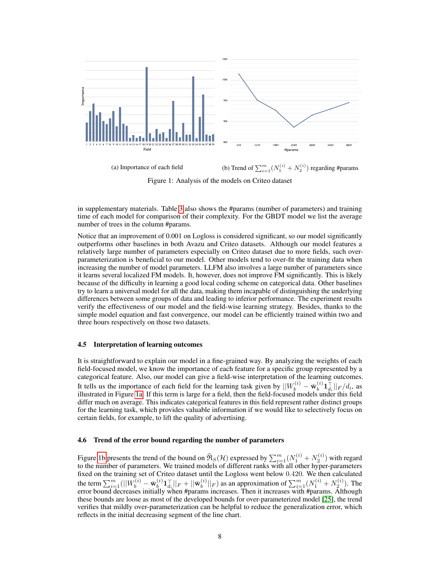<span id="page-7-0"></span>

(a) Importance of each field (b) Trend of  $\sum_{i=1}^{m} (N_1^{(i)} + N_2^{(i)})$  regarding #params

Figure 1: Analysis of the models on Criteo dataset

in supplementary materials. Table [3](#page-6-0) also shows the #params (number of parameters) and training time of each model for comparison of their complexity. For the GBDT model we list the average number of trees in the column #params.

Notice that an improvement of 0.001 on Logloss is considered significant, so our model significantly outperforms other baselines in both Avazu and Criteo datasets. Although our model features a relatively large number of parameters especially on Criteo dataset due to more fields, such overparameterization is beneficial to our model. Other models tend to over-fit the training data when increasing the number of model parameters. LLFM also involves a large number of parameters since it learns several localized FM models. It, however, does not improve FM significantly. This is likely because of the difficulty in learning a good local coding scheme on categorical data. Other baselines try to learn a universal model for all the data, making them incapable of distinguishing the underlying differences between some groups of data and leading to inferior performance. The experiment results verify the effectiveness of our model and the field-wise learning strategy. Besides, thanks to the simple model equation and fast convergence, our model can be efficiently trained within two and three hours respectively on those two datasets.

#### 4.5 Interpretation of learning outcomes

It is straightforward to explain our model in a fine-grained way. By analyzing the weights of each field-focused model, we know the importance of each feature for a specific group represented by a categorical feature. Also, our model can give a field-wise interpretation of the learning outcomes. It tells us the importance of each field for the learning task given by  $||W_b^{(i)} - \bar{w}_b^{(i)}||$  $\mathbf{1}_{d_i}^{\top}||_F/d_i$ , as illustrated in Figure [1a.](#page-7-0) If this term is large for a field, then the field-focused models under this field differ much on average. This indicates categorical features in this field represent rather distinct groups for the learning task, which provides valuable information if we would like to selectively focus on certain fields, for example, to lift the quality of advertising.

#### 4.6 Trend of the error bound regarding the number of parameters

Figure [1b](#page-7-0) presents the trend of the bound on  $\widehat{\mathfrak{R}}_S(\mathcal{H})$  expressed by  $\sum_{i=1}^m (N_1^{(i)} + N_2^{(i)})$  with regard to the number of parameters. We trained models of different ranks with all other hyper-parameters fixed on the training set of Criteo dataset until the Logloss went below 0.420. We then calculated the term  $\sum_{i=1}^m (||W^{(i)}_b - \bar{\mathbf{w}}^{(i)}_b)$  $\|\mathbf{1}_{d_i}^{\top}\|_F + \|\bar{\mathbf{w}}_b^{(i)}\|_F$  $\mathcal{L}_{b}^{(i)}||_F$ ) as an approximation of  $\sum_{i=1}^{m} (N_1^{(i)} + N_2^{(i)})$ . The error bound decreases initially when #params increases. Then it increases with #params. Although these bounds are loose as most of the developed bounds for over-parameterized model [\[25\]](#page-9-12), the trend verifies that mildly over-parameterization can be helpful to reduce the generalization error, which reflects in the initial decreasing segment of the line chart.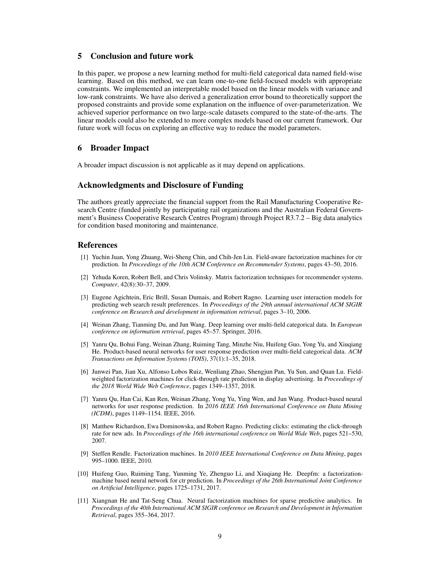# 5 Conclusion and future work

In this paper, we propose a new learning method for multi-field categorical data named field-wise learning. Based on this method, we can learn one-to-one field-focused models with appropriate constraints. We implemented an interpretable model based on the linear models with variance and low-rank constraints. We have also derived a generalization error bound to theoretically support the proposed constraints and provide some explanation on the influence of over-parameterization. We achieved superior performance on two large-scale datasets compared to the state-of-the-arts. The linear models could also be extended to more complex models based on our current framework. Our future work will focus on exploring an effective way to reduce the model parameters.

# 6 Broader Impact

A broader impact discussion is not applicable as it may depend on applications.

# Acknowledgments and Disclosure of Funding

The authors greatly appreciate the financial support from the Rail Manufacturing Cooperative Research Centre (funded jointly by participating rail organizations and the Australian Federal Government's Business Cooperative Research Centres Program) through Project R3.7.2 – Big data analytics for condition based monitoring and maintenance.

## References

- <span id="page-8-0"></span>[1] Yuchin Juan, Yong Zhuang, Wei-Sheng Chin, and Chih-Jen Lin. Field-aware factorization machines for ctr prediction. In *Proceedings of the 10th ACM Conference on Recommender Systems*, pages 43–50, 2016.
- <span id="page-8-1"></span>[2] Yehuda Koren, Robert Bell, and Chris Volinsky. Matrix factorization techniques for recommender systems. *Computer*, 42(8):30–37, 2009.
- <span id="page-8-2"></span>[3] Eugene Agichtein, Eric Brill, Susan Dumais, and Robert Ragno. Learning user interaction models for predicting web search result preferences. In *Proceedings of the 29th annual international ACM SIGIR conference on Research and development in information retrieval*, pages 3–10, 2006.
- <span id="page-8-3"></span>[4] Weinan Zhang, Tianming Du, and Jun Wang. Deep learning over multi-field categorical data. In *European conference on information retrieval*, pages 45–57. Springer, 2016.
- <span id="page-8-9"></span>[5] Yanru Qu, Bohui Fang, Weinan Zhang, Ruiming Tang, Minzhe Niu, Huifeng Guo, Yong Yu, and Xiuqiang He. Product-based neural networks for user response prediction over multi-field categorical data. *ACM Transactions on Information Systems (TOIS)*, 37(1):1–35, 2018.
- [6] Junwei Pan, Jian Xu, Alfonso Lobos Ruiz, Wenliang Zhao, Shengjun Pan, Yu Sun, and Quan Lu. Fieldweighted factorization machines for click-through rate prediction in display advertising. In *Proceedings of the 2018 World Wide Web Conference*, pages 1349–1357, 2018.
- <span id="page-8-4"></span>[7] Yanru Qu, Han Cai, Kan Ren, Weinan Zhang, Yong Yu, Ying Wen, and Jun Wang. Product-based neural networks for user response prediction. In *2016 IEEE 16th International Conference on Data Mining (ICDM)*, pages 1149–1154. IEEE, 2016.
- <span id="page-8-5"></span>[8] Matthew Richardson, Ewa Dominowska, and Robert Ragno. Predicting clicks: estimating the click-through rate for new ads. In *Proceedings of the 16th international conference on World Wide Web*, pages 521–530, 2007.
- <span id="page-8-6"></span>[9] Steffen Rendle. Factorization machines. In *2010 IEEE International Conference on Data Mining*, pages 995–1000. IEEE, 2010.
- <span id="page-8-7"></span>[10] Huifeng Guo, Ruiming Tang, Yunming Ye, Zhenguo Li, and Xiuqiang He. Deepfm: a factorizationmachine based neural network for ctr prediction. In *Proceedings of the 26th International Joint Conference on Artificial Intelligence*, pages 1725–1731, 2017.
- <span id="page-8-8"></span>[11] Xiangnan He and Tat-Seng Chua. Neural factorization machines for sparse predictive analytics. In *Proceedings of the 40th International ACM SIGIR conference on Research and Development in Information Retrieval*, pages 355–364, 2017.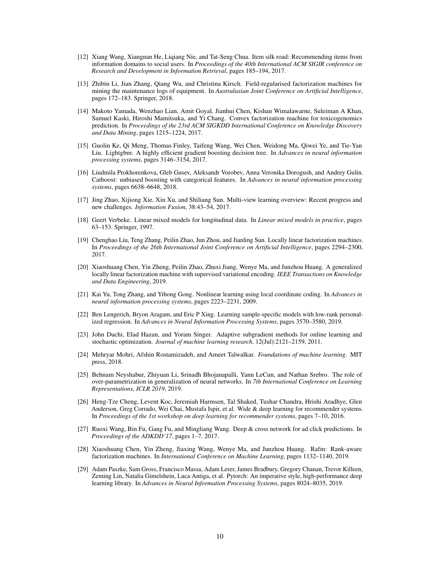- <span id="page-9-0"></span>[12] Xiang Wang, Xiangnan He, Liqiang Nie, and Tat-Seng Chua. Item silk road: Recommending items from information domains to social users. In *Proceedings of the 40th International ACM SIGIR conference on Research and Development in Information Retrieval*, pages 185–194, 2017.
- [13] Zhibin Li, Jian Zhang, Qiang Wu, and Christina Kirsch. Field-regularised factorization machines for mining the maintenance logs of equipment. In *Australasian Joint Conference on Artificial Intelligence*, pages 172–183. Springer, 2018.
- <span id="page-9-1"></span>[14] Makoto Yamada, Wenzhao Lian, Amit Goyal, Jianhui Chen, Kishan Wimalawarne, Suleiman A Khan, Samuel Kaski, Hiroshi Mamitsuka, and Yi Chang. Convex factorization machine for toxicogenomics prediction. In *Proceedings of the 23rd ACM SIGKDD International Conference on Knowledge Discovery and Data Mining*, pages 1215–1224, 2017.
- <span id="page-9-2"></span>[15] Guolin Ke, Qi Meng, Thomas Finley, Taifeng Wang, Wei Chen, Weidong Ma, Qiwei Ye, and Tie-Yan Liu. Lightgbm: A highly efficient gradient boosting decision tree. In *Advances in neural information processing systems*, pages 3146–3154, 2017.
- <span id="page-9-3"></span>[16] Liudmila Prokhorenkova, Gleb Gusev, Aleksandr Vorobev, Anna Veronika Dorogush, and Andrey Gulin. Catboost: unbiased boosting with categorical features. In *Advances in neural information processing systems*, pages 6638–6648, 2018.
- <span id="page-9-4"></span>[17] Jing Zhao, Xijiong Xie, Xin Xu, and Shiliang Sun. Multi-view learning overview: Recent progress and new challenges. *Information Fusion*, 38:43–54, 2017.
- <span id="page-9-5"></span>[18] Geert Verbeke. Linear mixed models for longitudinal data. In *Linear mixed models in practice*, pages 63–153. Springer, 1997.
- <span id="page-9-6"></span>[19] Chenghao Liu, Teng Zhang, Peilin Zhao, Jun Zhou, and Jianling Sun. Locally linear factorization machines. In *Proceedings of the 26th International Joint Conference on Artificial Intelligence*, pages 2294–2300, 2017.
- <span id="page-9-7"></span>[20] Xiaoshuang Chen, Yin Zheng, Peilin Zhao, Zhuxi Jiang, Wenye Ma, and Junzhou Huang. A generalized locally linear factorization machine with supervised variational encoding. *IEEE Transactions on Knowledge and Data Engineering*, 2019.
- <span id="page-9-8"></span>[21] Kai Yu, Tong Zhang, and Yihong Gong. Nonlinear learning using local coordinate coding. In *Advances in neural information processing systems*, pages 2223–2231, 2009.
- <span id="page-9-9"></span>[22] Ben Lengerich, Bryon Aragam, and Eric P Xing. Learning sample-specific models with low-rank personalized regression. In *Advances in Neural Information Processing Systems*, pages 3570–3580, 2019.
- <span id="page-9-10"></span>[23] John Duchi, Elad Hazan, and Yoram Singer. Adaptive subgradient methods for online learning and stochastic optimization. *Journal of machine learning research*, 12(Jul):2121–2159, 2011.
- <span id="page-9-11"></span>[24] Mehryar Mohri, Afshin Rostamizadeh, and Ameet Talwalkar. *Foundations of machine learning*. MIT press, 2018.
- <span id="page-9-12"></span>[25] Behnam Neyshabur, Zhiyuan Li, Srinadh Bhojanapalli, Yann LeCun, and Nathan Srebro. The role of over-parametrization in generalization of neural networks. In *7th International Conference on Learning Representations, ICLR 2019*, 2019.
- <span id="page-9-13"></span>[26] Heng-Tze Cheng, Levent Koc, Jeremiah Harmsen, Tal Shaked, Tushar Chandra, Hrishi Aradhye, Glen Anderson, Greg Corrado, Wei Chai, Mustafa Ispir, et al. Wide & deep learning for recommender systems. In *Proceedings of the 1st workshop on deep learning for recommender systems*, pages 7–10, 2016.
- <span id="page-9-14"></span>[27] Ruoxi Wang, Bin Fu, Gang Fu, and Mingliang Wang. Deep & cross network for ad click predictions. In *Proceedings of the ADKDD'17*, pages 1–7. 2017.
- <span id="page-9-15"></span>[28] Xiaoshuang Chen, Yin Zheng, Jiaxing Wang, Wenye Ma, and Junzhou Huang. Rafm: Rank-aware factorization machines. In *International Conference on Machine Learning*, pages 1132–1140, 2019.
- <span id="page-9-16"></span>[29] Adam Paszke, Sam Gross, Francisco Massa, Adam Lerer, James Bradbury, Gregory Chanan, Trevor Killeen, Zeming Lin, Natalia Gimelshein, Luca Antiga, et al. Pytorch: An imperative style, high-performance deep learning library. In *Advances in Neural Information Processing Systems*, pages 8024–8035, 2019.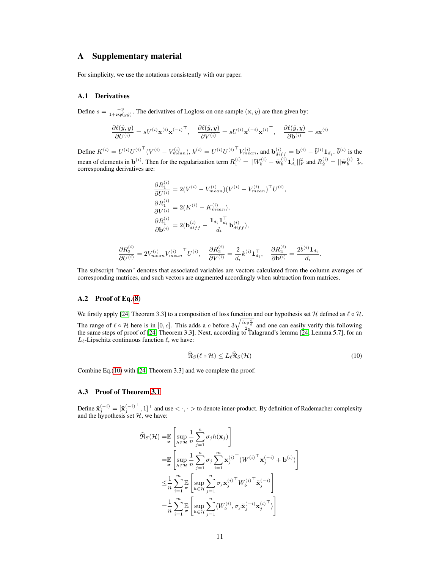# A Supplementary material

For simplicity, we use the notations consistently with our paper.

#### A.1 Derivatives

Define  $s = \frac{-y}{1 + \exp(y\hat{y})}$ . The derivatives of Logloss on one sample  $(\mathbf{x}, y)$  are then given by:

$$
\frac{\partial \ell(\hat{y}, y)}{\partial U^{(i)}} = s V^{(i)} \mathbf{x}^{(i)} {\mathbf{x}^{(-i)}}^\top, \quad \frac{\partial \ell(\hat{y}, y)}{\partial V^{(i)}} = s U^{(i)} {\mathbf{x}^{(-i)}} {\mathbf{x}^{(i)}}^\top, \quad \frac{\partial \ell(\hat{y}, y)}{\partial \mathbf{b}^{(i)}} = s \mathbf{x}^{(i)}
$$

Define  $K^{(i)} = U^{(i)}U^{(i)\top}(V^{(i)} - V_{mean}^{(i)}), k^{(i)} = U^{(i)}U^{(i)\top}V_{mean}^{(i)},$  and  $\mathbf{b}_{diff}^{(i)} = \mathbf{b}^{(i)} - \bar{b}^{(i)}\mathbf{1}_{d_i}$ .  $\bar{b}^{(i)}$  is the mean of elements in  $\mathbf{b}^{(i)}$ . Then for the regularization term  $R_1^{(i)} = ||W_b^{(i)} - \bar{w}_b^{(i)} \mathbf{1}_{d_i}^{\top}||_F^2$  and  $R_2^{(i)} = ||\bar{w}_b^{(i)}||_F^2$ . corresponding derivatives are:

$$
\frac{\partial R_1^{(i)}}{\partial U^{(i)}} = 2(V^{(i)} - V_{mean}^{(i)})(V^{(i)} - V_{mean}^{(i)})^\top U^{(i)},
$$
  
\n
$$
\frac{\partial R_1^{(i)}}{\partial V^{(i)}} = 2(K^{(i)} - K_{mean}^{(i)}),
$$
  
\n
$$
\frac{\partial R_1^{(i)}}{\partial \mathbf{b}^{(i)}} = 2(\mathbf{b}_{diff}^{(i)} - \frac{\mathbf{1}_{d_i} \mathbf{1}_{d_i}^\top}{d_i} \mathbf{b}_{diff}^{(i)}),
$$

$$
\frac{\partial R_2^{(i)}}{\partial U^{(i)}} = 2 V_{mean}^{(i)} {V_{mean}}^{\top} U^{(i)}, \quad \frac{\partial R_2^{(i)}}{\partial V^{(i)}} = \frac{2}{d_i} k^{(i)} \mathbf{1}_{d_i}^{\top}, \quad \frac{\partial R_2^{(i)}}{\partial \mathbf{b}^{(i)}} = \frac{2 \bar{b}^{(i)} \mathbf{1}_{d_i}}{d_i}
$$

The subscript "mean" denotes that associated variables are vectors calculated from the column averages of corresponding matrices, and such vectors are augmented accordingly when subtraction from matrices.

#### A.2 Proof of Eq.[\(8\)](#page-4-0)

We firstly apply [\[24,](#page-9-11) Theorem 3.3] to a composition of loss function and our hypothesis set H defined as  $\ell \circ \mathcal{H}$ .

The range of  $\ell \circ \mathcal{H}$  here is in  $[0, c]$ . This adds a c before  $3\sqrt{\frac{\log \frac{2}{\delta}}{2n}}$  and one can easily verify this following the same steps of proof of [\[24,](#page-9-11) Theorem 3.3]. Next, according to Talagrand's lemma [\[24,](#page-9-11) Lemma 5.7], for an  $L_{\ell}$ -Lipschitz continuous function  $\ell$ , we have:

<span id="page-10-0"></span>
$$
\widehat{\Re}_S(\ell \circ \mathcal{H}) \le L_\ell \widehat{\Re}_S(\mathcal{H})
$$
\n(10)

.

Combine Eq.[\(10\)](#page-10-0) with [\[24,](#page-9-11) Theorem 3.3] and we complete the proof.

# A.3 Proof of Theorem [3.1](#page-4-1)

Define  $\tilde{\mathbf{x}}_j^{(-i)} = [\tilde{\mathbf{x}}_j^{(-i)}]$  $\left[0, 1\right]$  and use  $\left\langle \cdot, \cdot \right\rangle$  to denote inner-product. By definition of Rademacher complexity and the hypothesis set  $H$ , we have:

$$
\widehat{\mathfrak{R}}_{S}(\mathcal{H}) = \mathbb{E}\left[\sup_{h \in \mathcal{H}} \frac{1}{n} \sum_{j=1}^{n} \sigma_{j} h(\mathbf{x}_{j})\right]
$$
\n
$$
= \mathbb{E}\left[\sup_{h \in \mathcal{H}} \frac{1}{n} \sum_{j=1}^{n} \sigma_{j} \sum_{i=1}^{m} \mathbf{x}_{j}^{(i)\top} (W^{(i)\top} \mathbf{x}_{j}^{(-i)} + \mathbf{b}^{(i)})\right]
$$
\n
$$
\leq \frac{1}{n} \sum_{i=1}^{m} \mathbb{E}\left[\sup_{h \in \mathcal{H}} \sum_{j=1}^{n} \sigma_{j} \mathbf{x}_{j}^{(i)\top} W_{b}^{(i)\top} \tilde{\mathbf{x}}_{j}^{(-i)}\right]
$$
\n
$$
= \frac{1}{n} \sum_{i=1}^{m} \mathbb{E}\left[\sup_{h \in \mathcal{H}} \sum_{j=1}^{n} \langle W_{b}^{(i)}, \sigma_{j} \tilde{\mathbf{x}}_{j}^{(-i)} \mathbf{x}_{j}^{(i)\top} \rangle\right]
$$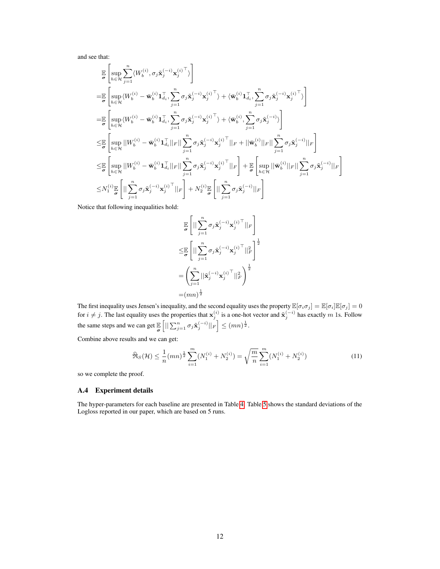and see that:

$$
\label{eq:4.13} \begin{split} &\underset{\sigma}{\mathbb{E}}\left[\underset{h\in\mathcal{H}}{\sup}\sum_{j=1}^{n}\langle W_{b}^{(i)},\sigma_{j}\tilde{\mathbf{x}}_{j}^{(-i)}\mathbf{x}_{j}^{(i)\top}\rangle\right]\\ =&\underset{\sigma}{\mathbb{E}}\left[\underset{h\in\mathcal{H}}{\sup}\langle W_{b}^{(i)}-\bar{\mathbf{w}}_{b}^{(i)}\mathbf{1}_{d_{i}},\sum_{j=1}^{n}\sigma_{j}\tilde{\mathbf{x}}_{j}^{(-i)}\mathbf{x}_{j}^{(i)\top}\rangle+\langle \bar{\mathbf{w}}_{b}^{(i)}\mathbf{1}_{d_{i}},\sum_{j=1}^{n}\sigma_{j}\tilde{\mathbf{x}}_{j}^{(-i)}\mathbf{x}_{j}^{(i)\top}\rangle\right]\\ =&\underset{\sigma}{\mathbb{E}}\left[\underset{h\in\mathcal{H}}{\sup}\langle W_{b}^{(i)}-\bar{\mathbf{w}}_{b}^{(i)}\mathbf{1}_{d_{i}},\sum_{j=1}^{n}\sigma_{j}\tilde{\mathbf{x}}_{j}^{(-i)}\mathbf{x}_{j}^{(i)\top}\rangle+\langle \bar{\mathbf{w}}_{b}^{(i)},\sum_{j=1}^{n}\sigma_{j}\tilde{\mathbf{x}}_{j}^{(-i)}\rangle\right]\\ \leq &\underset{\sigma}{\mathbb{E}}\left[\underset{h\in\mathcal{H}}{\sup}\left|\vert W_{b}^{(i)}-\bar{\mathbf{w}}_{b}^{(i)}\mathbf{1}_{d_{i}}^{\top}\vert\vert_{F}\vert\vert\sum_{j=1}^{n}\sigma_{j}\tilde{\mathbf{x}}_{j}^{(-i)}\mathbf{x}_{j}^{(i)\top}\vert\vert_{F}+\vert\vert\bar{\mathbf{w}}_{b}^{(i)}\vert\vert_{F}\vert\vert\sum_{j=1}^{n}\sigma_{j}\tilde{\mathbf{x}}_{j}^{(-i)}\vert\vert_{F}\right]\\ \leq &\underset{\sigma}{\mathbb{E}}\left[\underset{h\in\mathcal{H}}{\sup}\left|\vert W_{b}^{(i)}-\bar{\mathbf{w}}_{b}^{(i)}\mathbf{1}_{d_{i}}^{\top}\vert\vert_{F}\vert\vert\sum_{j=1}^{n}\sigma_{j}\tilde{\mathbf{x}}_{j}^{(-i)}\mathbf{x}_{j}^{(i)\top}\vert\vert_{
$$

Notice that following inequalities hold:

$$
\begin{aligned} &\underset{\sigma}{\mathbb{E}}\left[\big|\big|\sum_{j=1}^{n}\sigma_{j}\tilde{\mathbf{x}}_{j}^{(-i)}\mathbf{x}_{j}^{(i)}\big|^{T}\big|\big|_{F}\right] \\ \leq &\underset{\sigma}{\mathbb{E}}\left[\big|\big|\sum_{j=1}^{n}\sigma_{j}\tilde{\mathbf{x}}_{j}^{(-i)}\mathbf{x}_{j}^{(i)}\big|^{T}\big|\big|_{F}^{2}\right]^{\frac{1}{2}} \\ =&\left(\sum_{j=1}^{n}\big|\big|\tilde{\mathbf{x}}_{j}^{(-i)}\mathbf{x}_{j}^{(i)}\big|^{T}\big|\big|_{F}^{2}\right)^{\frac{1}{2}} \\ =& (mn)^{\frac{1}{2}} \end{aligned}
$$

The first inequality uses Jensen's inequality, and the second equality uses the property  $\mathbb{E}[\sigma_i\sigma_j] = \mathbb{E}[\sigma_i]\mathbb{E}[\sigma_j] = 0$ for  $i \neq j$ . The last equality uses the properties that  $x_j^{(i)}$  is a one-hot vector and  $\tilde{x}_j^{(-i)}$  has exactly m 1s. Follow the same steps and we can get  $\mathbb{E}_{\sigma}$  $\left[ \|\sum_{j=1}^n \sigma_j \tilde{\mathbf{x}}_j^{(-i)}\|_F \right] \leq (mn)^{\frac{1}{2}}.$ 

Combine above results and we can get:

$$
\widehat{\mathfrak{R}}_S(\mathcal{H}) \le \frac{1}{n}(mn)^{\frac{1}{2}} \sum_{i=1}^m (N_1^{(i)} + N_2^{(i)}) = \sqrt{\frac{m}{n}} \sum_{i=1}^m (N_1^{(i)} + N_2^{(i)}) \tag{11}
$$

so we complete the proof.

## A.4 Experiment details

The hyper-parameters for each baseline are presented in Table [4.](#page-12-0) Table [5](#page-12-1) shows the standard deviations of the Logloss reported in our paper, which are based on 5 runs.